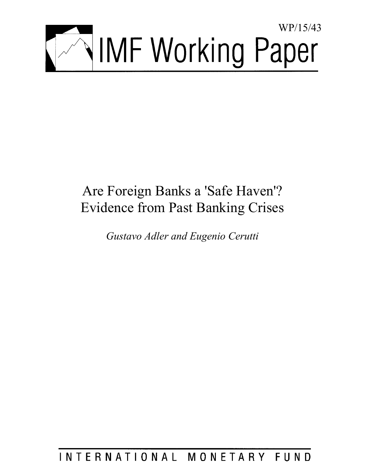

# Are Foreign Banks a 'Safe Haven'? Evidence from Past Banking Crises

*Gustavo Adler and Eugenio Cerutti* 

# INTERNATIONAL MONETARY FUND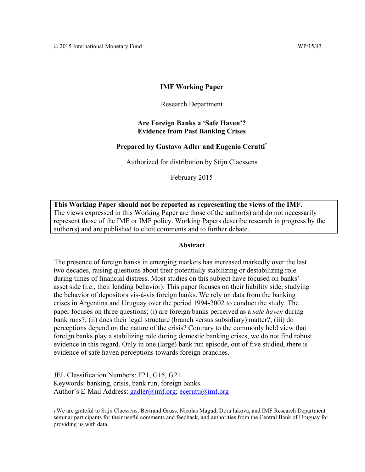#### **IMF Working Paper**

#### Research Department

#### **Are Foreign Banks a 'Safe Haven'? Evidence from Past Banking Crises**

### **Prepared by Gustavo Adler and Eugenio Cerutti†**

Authorized for distribution by Stijn Claessens

February 2015

**This Working Paper should not be reported as representing the views of the IMF.**  The views expressed in this Working Paper are those of the author(s) and do not necessarily represent those of the IMF or IMF policy. Working Papers describe research in progress by the author(s) and are published to elicit comments and to further debate.

#### **Abstract**

The presence of foreign banks in emerging markets has increased markedly over the last two decades, raising questions about their potentially stabilizing or destabilizing role during times of financial distress. Most studies on this subject have focused on banks' asset side (i.e., their lending behavior). This paper focuses on their liability side, studying the behavior of depositors vis-à-vis foreign banks. We rely on data from the banking crises in Argentina and Uruguay over the period 1994-2002 to conduct the study. The paper focuses on three questions; (i) are foreign banks perceived as a *safe haven* during bank runs?; (ii) does their legal structure (branch versus subsidiary) matter?; (iii) do perceptions depend on the nature of the crisis? Contrary to the commonly held view that foreign banks play a stabilizing role during domestic banking crises, we do not find robust evidence in this regard. Only in one (large) bank run episode, out of five studied, there is evidence of safe haven perceptions towards foreign branches.

JEL Classification Numbers: F21, G15, G21. Keywords: banking, crisis, bank run, foreign banks. Author's E-Mail Address: gadler@imf.org; ecerutti@imf.org

† We are grateful to Stijn Claessens, Bertrand Gruss, Nicolas Magud, Dora Iakova, and IMF Research Department seminar participants for their useful comments and feedback, and authorities from the Central Bank of Uruguay for providing us with data.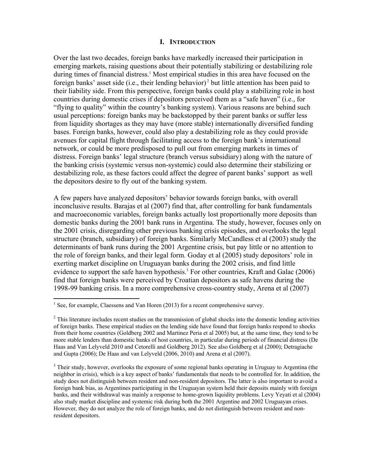#### **I. INTRODUCTION**

Over the last two decades, foreign banks have markedly increased their participation in emerging markets, raising questions about their potentially stabilizing or destabilizing role during times of financial distress.<sup>1</sup> Most empirical studies in this area have focused on the foreign banks' asset side (i.e., their lending behavior)<sup>2</sup> but little attention has been paid to their liability side. From this perspective, foreign banks could play a stabilizing role in host countries during domestic crises if depositors perceived them as a "safe haven" (i.e., for "flying to quality" within the country's banking system). Various reasons are behind such usual perceptions: foreign banks may be backstopped by their parent banks or suffer less from liquidity shortages as they may have (more stable) internationally diversified funding bases. Foreign banks, however, could also play a destabilizing role as they could provide avenues for capital flight through facilitating access to the foreign bank's international network, or could be more predisposed to pull out from emerging markets in times of distress. Foreign banks' legal structure (branch versus subsidiary) along with the nature of the banking crisis (systemic versus non-systemic) could also determine their stabilizing or destabilizing role, as these factors could affect the degree of parent banks' support as well the depositors desire to fly out of the banking system.

A few papers have analyzed depositors' behavior towards foreign banks, with overall inconclusive results. Barajas et al (2007) find that, after controlling for bank fundamentals and macroeconomic variables, foreign banks actually lost proportionally more deposits than domestic banks during the 2001 bank runs in Argentina. The study, however, focuses only on the 2001 crisis, disregarding other previous banking crisis episodes, and overlooks the legal structure (branch, subsidiary) of foreign banks. Similarly McCandless et al (2003) study the determinants of bank runs during the 2001 Argentine crisis, but pay little or no attention to the role of foreign banks, and their legal form. Goday et al (2005) study depositors' role in exerting market discipline on Uruguayan banks during the 2002 crisis, and find little evidence to support the safe haven hypothesis.<sup>3</sup> For other countries, Kraft and Galac (2006) find that foreign banks were perceived by Croatian depositors as safe havens during the 1998-99 banking crisis. In a more comprehensive cross-country study, Arena et al (2007)

<sup>&</sup>lt;sup>1</sup> See, for example, Claessens and Van Horen (2013) for a recent comprehensive survey.

 $2^2$  This literature includes recent studies on the transmission of global shocks into the domestic lending activities of foreign banks. These empirical studies on the lending side have found that foreign banks respond to shocks from their home countries (Goldberg 2002 and Martinez Peria et al 2005) but, at the same time, they tend to be more stable lenders than domestic banks of host countries, in particular during periods of financial distress (De Haas and Van Lelyveld 2010 and Cetorelli and Goldberg 2012). See also Goldberg et al (2000); Detragiache and Gupta (2006); De Haas and van Lelyveld (2006, 2010) and Arena et al (2007).

<sup>&</sup>lt;sup>3</sup> Their study, however, overlooks the exposure of some regional banks operating in Uruguay to Argentina (the neighbor in crisis), which is a key aspect of banks' fundamentals that needs to be controlled for. In addition, the study does not distinguish between resident and non-resident depositors. The latter is also important to avoid a foreign bank bias, as Argentines participating in the Uruguayan system held their deposits mainly with foreign banks, and their withdrawal was mainly a response to home-grown liquidity problems. Levy Yeyati et al (2004) also study market discipline and systemic risk during both the 2001 Argentine and 2002 Uruguayan crises. However, they do not analyze the role of foreign banks, and do not distinguish between resident and nonresident depositors.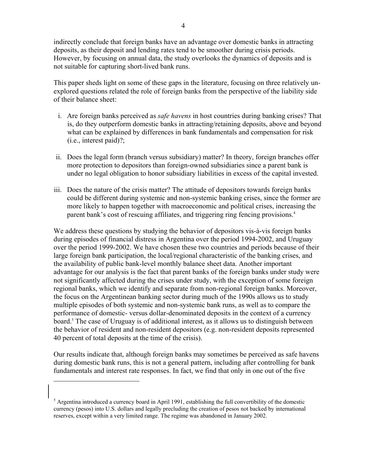indirectly conclude that foreign banks have an advantage over domestic banks in attracting deposits, as their deposit and lending rates tend to be smoother during crisis periods. However, by focusing on annual data, the study overlooks the dynamics of deposits and is not suitable for capturing short-lived bank runs.

This paper sheds light on some of these gaps in the literature, focusing on three relatively unexplored questions related the role of foreign banks from the perspective of the liability side of their balance sheet:

- i. Are foreign banks perceived as *safe havens* in host countries during banking crises? That is, do they outperform domestic banks in attracting/retaining deposits, above and beyond what can be explained by differences in bank fundamentals and compensation for risk (i.e., interest paid)?;
- ii. Does the legal form (branch versus subsidiary) matter? In theory, foreign branches offer more protection to depositors than foreign-owned subsidiaries since a parent bank is under no legal obligation to honor subsidiary liabilities in excess of the capital invested.
- iii. Does the nature of the crisis matter? The attitude of depositors towards foreign banks could be different during systemic and non-systemic banking crises, since the former are more likely to happen together with macroeconomic and political crises, increasing the parent bank's cost of rescuing affiliates, and triggering ring fencing provisions.<sup>4</sup>

We address these questions by studying the behavior of depositors vis-à-vis foreign banks during episodes of financial distress in Argentina over the period 1994-2002, and Uruguay over the period 1999-2002. We have chosen these two countries and periods because of their large foreign bank participation, the local/regional characteristic of the banking crises, and the availability of public bank-level monthly balance sheet data. Another important advantage for our analysis is the fact that parent banks of the foreign banks under study were not significantly affected during the crises under study, with the exception of some foreign regional banks, which we identify and separate from non-regional foreign banks. Moreover, the focus on the Argentinean banking sector during much of the 1990s allows us to study multiple episodes of both systemic and non-systemic bank runs, as well as to compare the performance of domestic- versus dollar-denominated deposits in the context of a currency board.5 The case of Uruguay is of additional interest, as it allows us to distinguish between the behavior of resident and non-resident depositors (e.g. non-resident deposits represented 40 percent of total deposits at the time of the crisis).

Our results indicate that, although foreign banks may sometimes be perceived as safe havens during domestic bank runs, this is not a general pattern, including after controlling for bank fundamentals and interest rate responses. In fact, we find that only in one out of the five

 $<sup>5</sup>$  Argentina introduced a currency board in April 1991, establishing the full convertibility of the domestic</sup> currency (pesos) into U.S. dollars and legally precluding the creation of pesos not backed by international reserves, except within a very limited range. The regime was abandoned in January 2002.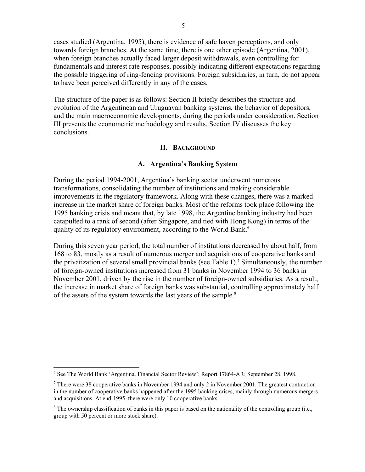cases studied (Argentina, 1995), there is evidence of safe haven perceptions, and only towards foreign branches. At the same time, there is one other episode (Argentina, 2001), when foreign branches actually faced larger deposit withdrawals, even controlling for fundamentals and interest rate responses, possibly indicating different expectations regarding the possible triggering of ring-fencing provisions. Foreign subsidiaries, in turn, do not appear to have been perceived differently in any of the cases.

The structure of the paper is as follows: Section II briefly describes the structure and evolution of the Argentinean and Uruguayan banking systems, the behavior of depositors, and the main macroeconomic developments, during the periods under consideration. Section III presents the econometric methodology and results. Section IV discusses the key conclusions.

#### **II. BACKGROUND**

#### **A. Argentina's Banking System**

During the period 1994-2001, Argentina's banking sector underwent numerous transformations, consolidating the number of institutions and making considerable improvements in the regulatory framework. Along with these changes, there was a marked increase in the market share of foreign banks. Most of the reforms took place following the 1995 banking crisis and meant that, by late 1998, the Argentine banking industry had been catapulted to a rank of second (after Singapore, and tied with Hong Kong) in terms of the quality of its regulatory environment, according to the World Bank.<sup>6</sup>

During this seven year period, the total number of institutions decreased by about half, from 168 to 83, mostly as a result of numerous merger and acquisitions of cooperative banks and the privatization of several small provincial banks (see Table 1).<sup>7</sup> Simultaneously, the number of foreign-owned institutions increased from 31 banks in November 1994 to 36 banks in November 2001, driven by the rise in the number of foreign-owned subsidiaries. As a result, the increase in market share of foreign banks was substantial, controlling approximately half of the assets of the system towards the last years of the sample.<sup>8</sup>

<sup>&</sup>lt;sup>6</sup> See The World Bank 'Argentina. Financial Sector Review'; Report 17864-AR; September 28, 1998.

 $<sup>7</sup>$  There were 38 cooperative banks in November 1994 and only 2 in November 2001. The greatest contraction</sup> in the number of cooperative banks happened after the 1995 banking crises, mainly through numerous mergers and acquisitions. At end-1995, there were only 10 cooperative banks.

 $8$  The ownership classification of banks in this paper is based on the nationality of the controlling group (i.e., group with 50 percent or more stock share).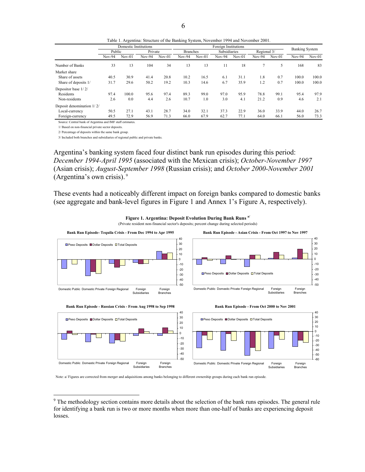|                           | Domestic Institutions |          |        |          | Foreign Institutions |                 |          |              |        |             | <b>Banking System</b> |          |  |
|---------------------------|-----------------------|----------|--------|----------|----------------------|-----------------|----------|--------------|--------|-------------|-----------------------|----------|--|
|                           |                       | Public   |        | Private  |                      | <b>Branches</b> |          | Subsidiaries |        | Regional 3/ |                       |          |  |
|                           | $Nov-94$              | $Nov-01$ | Nov-94 | $Nov-01$ | $Nov-94$             | $Nov-01$        | $Nov-94$ | $Nov-01$     | Nov-94 | $Nov-01$    | $Nov-94$              | $Nov-01$ |  |
| Number of Banks           | 33                    | 13       | 104    | 34       | 13                   | 13              | 11       | 18           | 7      | 5           | 168                   | 83       |  |
| Market share              |                       |          |        |          |                      |                 |          |              |        |             |                       |          |  |
| Share of assets           | 40.5                  | 30.9     | 41.4   | 20.8     | 10.2                 | 16.5            | 6.1      | 31.1         | 1.8    | 0.7         | 100.0                 | 100.0    |  |
| Share of deposits 1/      | 31.7                  | 29.6     | 50.2   | 19.2     | 10.3                 | 14.6            | 6.7      | 35.9         | 1.2    | 0.7         | 100.0                 | 100.0    |  |
| Depositor base 1/2/       |                       |          |        |          |                      |                 |          |              |        |             |                       |          |  |
| Residents                 | 97.4                  | 100.0    | 95.6   | 97.4     | 89.3                 | 99.0            | 97.0     | 95.9         | 78.8   | 99.1        | 95.4                  | 97.9     |  |
| Non-residents             | 2.6                   | 0.0      | 4.4    | 2.6      | 10.7                 | 1.0             | 3.0      | 4.1          | 21.2   | 0.9         | 4.6                   | 2.1      |  |
| Deposit denomination 1/2/ |                       |          |        |          |                      |                 |          |              |        |             |                       |          |  |
| Local-currency            | 50.5                  | 27.1     | 43.1   | 28.7     | 34.0                 | 32.1            | 37.3     | 22.9         | 36.0   | 33.9        | 44.0                  | 26.7     |  |
| Foreign-currency          | 49.5                  | 72.9     | 56.9   | 71.3     | 66.0                 | 67.9            | 62.7     | 77.1         | 64.0   | 66.1        | 56.0                  | 73.3     |  |

Source: Central bank of Argentina and IMF staff estimates.

1/ Based on non-financial private sector deposits.

2/ Percentage of deposits within the same bank group.

<u>.</u>

3/ Included both branches and subsidiaries of regional public and private banks.

Argentina's banking system faced four distinct bank run episodes during this period: *December 1994-April 1995* (associated with the Mexican crisis); *October-November 1997* (Asian crisis); *August-September 1998* (Russian crisis); and *October 2000-November 2001* (Argentina's own crisis). 9

These events had a noticeably different impact on foreign banks compared to domestic banks (see aggregate and bank-level figures in Figure 1 and Annex 1's Figure A, respectively).



Note: a/ Figures are corrected from merger and adquisitions among banks belonging to different ownership groups during each bank run episode.

Table 1. Argentina: Structure of the Banking System, November 1994 and November 2001.

 $9<sup>9</sup>$  The methodology section contains more details about the selection of the bank runs episodes. The general rule for identifying a bank run is two or more months when more than one-half of banks are experiencing deposit losses.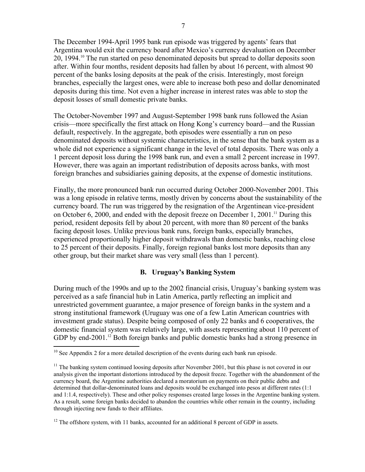The December 1994-April 1995 bank run episode was triggered by agents' fears that Argentina would exit the currency board after Mexico's currency devaluation on December 20, 1994.10 The run started on peso denominated deposits but spread to dollar deposits soon after. Within four months, resident deposits had fallen by about 16 percent, with almost 90 percent of the banks losing deposits at the peak of the crisis. Interestingly, most foreign branches, especially the largest ones, were able to increase both peso and dollar denominated deposits during this time. Not even a higher increase in interest rates was able to stop the deposit losses of small domestic private banks.

The October-November 1997 and August-September 1998 bank runs followed the Asian crisis—more specifically the first attack on Hong Kong's currency board—and the Russian default, respectively. In the aggregate, both episodes were essentially a run on peso denominated deposits without systemic characteristics, in the sense that the bank system as a whole did not experience a significant change in the level of total deposits. There was only a 1 percent deposit loss during the 1998 bank run, and even a small 2 percent increase in 1997. However, there was again an important redistribution of deposits across banks, with most foreign branches and subsidiaries gaining deposits, at the expense of domestic institutions.

Finally, the more pronounced bank run occurred during October 2000-November 2001. This was a long episode in relative terms, mostly driven by concerns about the sustainability of the currency board. The run was triggered by the resignation of the Argentinean vice-president on October 6, 2000, and ended with the deposit freeze on December 1, 2001.<sup>11</sup> During this period, resident deposits fell by about 20 percent, with more than 80 percent of the banks facing deposit loses. Unlike previous bank runs, foreign banks, especially branches, experienced proportionally higher deposit withdrawals than domestic banks, reaching close to 25 percent of their deposits. Finally, foreign regional banks lost more deposits than any other group, but their market share was very small (less than 1 percent).

#### **B. Uruguay's Banking System**

During much of the 1990s and up to the 2002 financial crisis, Uruguay's banking system was perceived as a safe financial hub in Latin America, partly reflecting an implicit and unrestricted government guarantee, a major presence of foreign banks in the system and a strong institutional framework (Uruguay was one of a few Latin American countries with investment grade status). Despite being composed of only 22 banks and 6 cooperatives, the domestic financial system was relatively large, with assets representing about 110 percent of GDP by end-2001.<sup>12</sup> Both foreign banks and public domestic banks had a strong presence in

 $10$  See Appendix 2 for a more detailed description of the events during each bank run episode.

 $11$  The banking system continued loosing deposits after November 2001, but this phase is not covered in our analysis given the important distortions introduced by the deposit freeze. Together with the abandonment of the currency board, the Argentine authorities declared a moratorium on payments on their public debts and determined that dollar-denominated loans and deposits would be exchanged into pesos at different rates (1:1 and 1:1.4, respectively). These and other policy responses created large losses in the Argentine banking system. As a result, some foreign banks decided to abandon the countries while other remain in the country, including through injecting new funds to their affiliates.

 $12$  The offshore system, with 11 banks, accounted for an additional 8 percent of GDP in assets.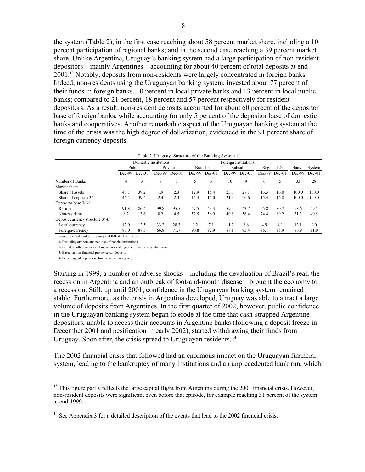the system (Table 2), in the first case reaching about 58 percent market share, including a 10 percent participation of regional banks; and in the second case reaching a 39 percent market share. Unlike Argentina, Uruguay's banking system had a large participation of non-resident depositors—mainly Argentines—accounting for about 40 percent of total deposits at end-2001.13 Notably, deposits from non-residents were largely concentrated in foreign banks. Indeed, non-residents using the Uruguayan banking system, invested about 77 percent of their funds in foreign banks, 10 percent in local private banks and 13 percent in local public banks; compared to 21 percent, 18 percent and 57 percent respectively for resident depositors. As a result, non-resident deposits accounted for about 60 percent of the depositor base of foreign banks, while accounting for only 5 percent of the depositor base of domestic banks and cooperatives. Another remarkable aspect of the Uruguayan banking system at the time of the crisis was the high degree of dollarization, evidenced in the 91 percent share of foreign currency deposits.

|                                 |          |                       |          |                            |          |        | Table 2. Uruguay: Structure of the Banking System 1/ |          |             |          |                       |          |
|---------------------------------|----------|-----------------------|----------|----------------------------|----------|--------|------------------------------------------------------|----------|-------------|----------|-----------------------|----------|
|                                 |          | Domestic Institutions |          |                            |          |        | Foreign Institutions                                 |          |             |          |                       |          |
|                                 | Public   |                       |          | Private<br><b>Branches</b> |          |        | Subsid.                                              |          | Regional 2/ |          | <b>Banking System</b> |          |
|                                 | $Dec-99$ | $Dec-01$              | $Dec-99$ | $Dec-01$                   | $Dec-99$ | Dec-01 | $Dec-99$                                             | $Dec-01$ | $Dec-99$    | $Dec-01$ | Dec-99                | $Dec-01$ |
| Number of Banks                 | 4        | 3                     | 8        | 6                          |          | 5      | 10                                                   | 9        | 6           | 5        | 33                    | 28       |
| Market share                    |          |                       |          |                            |          |        |                                                      |          |             |          |                       |          |
| Share of assets                 | 48.7     | 39.2                  | 1.9      | 2.3                        | 12.9     | 15.4   | 23.1                                                 | 27.1     | 13.3        | 16.0     | 100.0                 | 100.0    |
| Share of deposits 3/            | 46.5     | 39.4                  | 2.4      | 2.3                        | 14.4     | 15.0   | 21.3                                                 | 26.6     | 15.4        | 16.8     | 100.0                 | 100.0    |
| Depositor base 3/4/             |          |                       |          |                            |          |        |                                                      |          |             |          |                       |          |
| Residents                       | 91.8     | 86.4                  | 99.8     | 95.5                       | 47.5     | 43.3   | 59.4                                                 | 43.7     | 25.8        | 30.7     | 68.6                  | 59.5     |
| Non-residents                   | 8.2      | 13.6                  | 0.2      | 4.5                        | 52.5     | 56.9   | 40.5                                                 | 56.4     | 74.4        | 69.2     | 31.3                  | 40.5     |
| Deposit currency structure 3/4/ |          |                       |          |                            |          |        |                                                      |          |             |          |                       |          |
| Local-currency                  | 17.0     | 12.5                  | 33.2     | 28.3                       | 9.2      | 7.1    | 11.2                                                 | 6.6      | 4.9         | 4.1      | 13.1                  | 9.0      |
| Foreign-currency                | 83.0     | 87.5                  | 66.8     | 71.7                       | 90.8     | 92.9   | 88.8                                                 | 93.4     | 95.1        | 95.9     | 86.9                  | 91.0     |

Source: Central bank of Uruguay and IMF staff estimates.

1/ Excluding offshore and non-bank financial institutions.

2/ Includes both branches and subsidiaries of regional private and public banks.

3/ Based on non-financial private sector deposits.

4/ Percentage of deposits within the same bank group.

1

Starting in 1999, a number of adverse shocks—including the devaluation of Brazil's real, the recession in Argentina and an outbreak of foot-and-mouth disease—brought the economy to a recession. Still, up until 2001, confidence in the Uruguayan banking system remained stable. Furthermore, as the crisis in Argentina developed, Uruguay was able to attract a large volume of deposits from Argentines. In the first quarter of 2002, however, public confidence in the Uruguayan banking system began to erode at the time that cash-strapped Argentine depositors, unable to access their accounts in Argentine banks (following a deposit freeze in December 2001 and pesification in early 2002), started withdrawing their funds from Uruguay. Soon after, the crisis spread to Uruguayan residents.<sup>14</sup>

The 2002 financial crisis that followed had an enormous impact on the Uruguayan financial system, leading to the bankruptcy of many institutions and an unprecedented bank run, which

<sup>&</sup>lt;sup>13</sup> This figure partly reflects the large capital flight from Argentina during the 2001 financial crisis. However, non-resident deposits were significant even before that episode, for example reaching 31 percent of the system at end-1999.

<sup>&</sup>lt;sup>14</sup> See Appendix 3 for a detailed description of the events that lead to the 2002 financial crisis.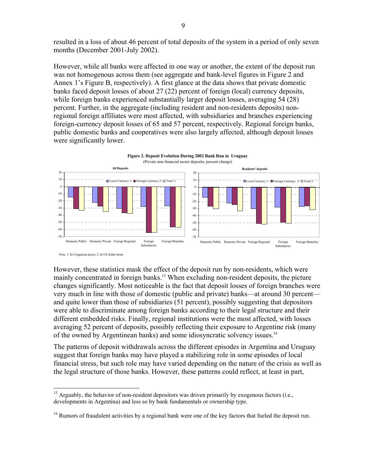resulted in a loss of about 46 percent of total deposits of the system in a period of only seven months (December 2001-July 2002).

However, while all banks were affected in one way or another, the extent of the deposit run was not homogenous across them (see aggregate and bank-level figures in Figure 2 and Annex 1's Figure B, respectively). A first glance at the data shows that private domestic banks faced deposit losses of about 27 (22) percent of foreign (local) currency deposits, while foreign banks experienced substantially larger deposit losses, averaging 54 (28) percent. Further, in the aggregate (including resident and non-residents deposits) nonregional foreign affiliates were most affected, with subsidiaries and branches experiencing foreign-currency deposit losses of 65 and 57 percent, respectively. Regional foreign banks, public domestic banks and cooperatives were also largely affected, although deposit losses were significantly lower.



Note: 1/ In Uruguayan pesos; 2/ In US dollar terms.

 $\overline{a}$ 

However, these statistics mask the effect of the deposit run by non-residents, which were mainly concentrated in foreign banks.<sup>15</sup> When excluding non-resident deposits, the picture changes significantly. Most noticeable is the fact that deposit losses of foreign branches were very much in line with those of domestic (public and private) banks—at around 30 percent and quite lower than those of subsidiaries (51 percent), possibly suggesting that depositors were able to discriminate among foreign banks according to their legal structure and their different embedded risks. Finally, regional institutions were the most affected, with losses averaging 52 percent of deposits, possibly reflecting their exposure to Argentine risk (many of the owned by Argentinean banks) and some idiosyncratic solvency issues.16

The patterns of deposit withdrawals across the different episodes in Argentina and Uruguay suggest that foreign banks may have played a stabilizing role in some episodes of local financial stress, but such role may have varied depending on the nature of the crisis as well as the legal structure of those banks. However, these patterns could reflect, at least in part,

<sup>&</sup>lt;sup>15</sup> Arguably, the behavior of non-resident depositors was driven primarily by exogenous factors (i.e., developments in Argentina) and less so by bank fundamentals or ownership type.

<sup>&</sup>lt;sup>16</sup> Rumors of fraudulent activities by a regional bank were one of the key factors that fueled the deposit run.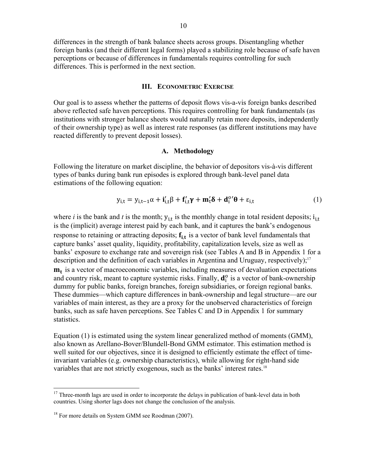differences in the strength of bank balance sheets across groups. Disentangling whether foreign banks (and their different legal forms) played a stabilizing role because of safe haven perceptions or because of differences in fundamentals requires controlling for such differences. This is performed in the next section.

#### **III. ECONOMETRIC EXERCISE**

Our goal is to assess whether the patterns of deposit flows vis-a-vis foreign banks described above reflected safe haven perceptions. This requires controlling for bank fundamentals (as institutions with stronger balance sheets would naturally retain more deposits, independently of their ownership type) as well as interest rate responses (as different institutions may have reacted differently to prevent deposit losses).

#### **A. Methodology**

Following the literature on market discipline, the behavior of depositors vis-à-vis different types of banks during bank run episodes is explored through bank-level panel data estimations of the following equation:

$$
y_{i,t} = y_{i,t-1}\alpha + \mathbf{i}'_{i,t}\beta + \mathbf{f}'_{i,t}\gamma + \mathbf{m}'_t\delta + \mathbf{d}^{0'}_i\theta + \varepsilon_{i,t}
$$
 (1)

where *i* is the bank and *t* is the month;  $y_{i,t}$  is the monthly change in total resident deposits;  $i_{i,t}$ is the (implicit) average interest paid by each bank, and it captures the bank's endogenous response to retaining or attracting deposits;  $f_{i,t}$  is a vector of bank level fundamentals that capture banks' asset quality, liquidity, profitability, capitalization levels, size as well as banks' exposure to exchange rate and sovereign risk (see Tables A and B in Appendix 1 for a description and the definition of each variables in Argentina and Uruguay, respectively);<sup>17</sup>  $m_t$  is a vector of macroeconomic variables, including measures of devaluation expectations and country risk, meant to capture systemic risks. Finally,  $\mathbf{d}_i^o$  is a vector of bank-ownership dummy for public banks, foreign branches, foreign subsidiaries, or foreign regional banks. These dummies—which capture differences in bank-ownership and legal structure—are our variables of main interest, as they are a proxy for the unobserved characteristics of foreign banks, such as safe haven perceptions. See Tables C and D in Appendix 1 for summary statistics.

Equation (1) is estimated using the system linear generalized method of moments (GMM), also known as Arellano-Bover/Blundell-Bond GMM estimator. This estimation method is well suited for our objectives, since it is designed to efficiently estimate the effect of timeinvariant variables (e.g. ownership characteristics), while allowing for right-hand side variables that are not strictly exogenous, such as the banks' interest rates.<sup>18</sup>

 $17$  Three-month lags are used in order to incorporate the delays in publication of bank-level data in both countries. Using shorter lags does not change the conclusion of the analysis.

<sup>&</sup>lt;sup>18</sup> For more details on System GMM see Roodman (2007).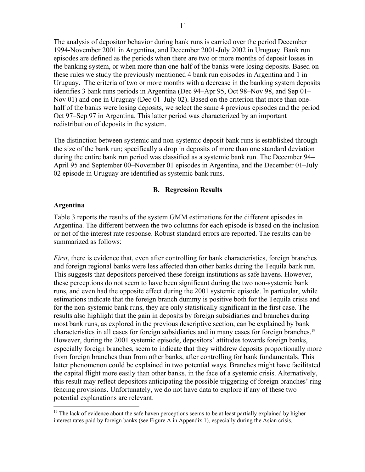The analysis of depositor behavior during bank runs is carried over the period December 1994-November 2001 in Argentina, and December 2001-July 2002 in Uruguay. Bank run episodes are defined as the periods when there are two or more months of deposit losses in the banking system, or when more than one-half of the banks were losing deposits. Based on these rules we study the previously mentioned 4 bank run episodes in Argentina and 1 in Uruguay. The criteria of two or more months with a decrease in the banking system deposits identifies 3 bank runs periods in Argentina (Dec 94–Apr 95, Oct 98–Nov 98, and Sep 01– Nov 01) and one in Uruguay (Dec 01–July 02). Based on the criterion that more than onehalf of the banks were losing deposits, we select the same 4 previous episodes and the period Oct 97–Sep 97 in Argentina. This latter period was characterized by an important redistribution of deposits in the system.

The distinction between systemic and non-systemic deposit bank runs is established through the size of the bank run; specifically a drop in deposits of more than one standard deviation during the entire bank run period was classified as a systemic bank run. The December 94– April 95 and September 00–November 01 episodes in Argentina, and the December 01–July 02 episode in Uruguay are identified as systemic bank runs.

#### **B. Regression Results**

#### **Argentina**

 $\overline{a}$ 

Table 3 reports the results of the system GMM estimations for the different episodes in Argentina. The different between the two columns for each episode is based on the inclusion or not of the interest rate response. Robust standard errors are reported. The results can be summarized as follows:

*First*, there is evidence that, even after controlling for bank characteristics, foreign branches and foreign regional banks were less affected than other banks during the Tequila bank run. This suggests that depositors perceived these foreign institutions as safe havens. However, these perceptions do not seem to have been significant during the two non-systemic bank runs, and even had the opposite effect during the 2001 systemic episode. In particular, while estimations indicate that the foreign branch dummy is positive both for the Tequila crisis and for the non-systemic bank runs, they are only statistically significant in the first case. The results also highlight that the gain in deposits by foreign subsidiaries and branches during most bank runs, as explored in the previous descriptive section, can be explained by bank characteristics in all cases for foreign subsidiaries and in many cases for foreign branches.19 However, during the 2001 systemic episode, depositors' attitudes towards foreign banks, especially foreign branches, seem to indicate that they withdrew deposits proportionally more from foreign branches than from other banks, after controlling for bank fundamentals. This latter phenomenon could be explained in two potential ways. Branches might have facilitated the capital flight more easily than other banks, in the face of a systemic crisis. Alternatively, this result may reflect depositors anticipating the possible triggering of foreign branches' ring fencing provisions. Unfortunately, we do not have data to explore if any of these two potential explanations are relevant.

<sup>&</sup>lt;sup>19</sup> The lack of evidence about the safe haven perceptions seems to be at least partially explained by higher interest rates paid by foreign banks (see Figure A in Appendix 1), especially during the Asian crisis.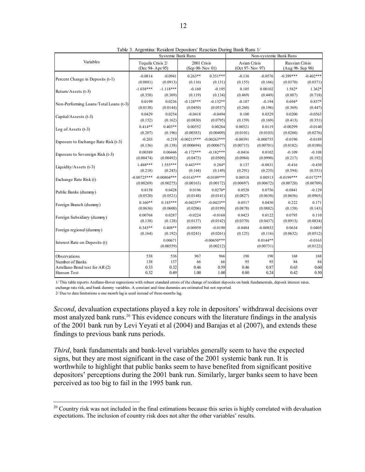|                                        |                                      | <b>Systemic Bank Runs</b> |                                |                            | Non-systemic Bank Runs           |                         |                                    |                       |  |
|----------------------------------------|--------------------------------------|---------------------------|--------------------------------|----------------------------|----------------------------------|-------------------------|------------------------------------|-----------------------|--|
| Variables                              | Tequila Crisis 2/<br>(Dec 94-Apr 95) |                           | 2001 Crisis<br>(Sep 00-Nov 01) |                            | Asian Crisis<br>(Oct 97- Nov 97) |                         | Russian Crisis<br>(Aug 98- Sep 98) |                       |  |
| Percent Change in Deposits (t-1)       | $-0.0814$                            | $-0.0941$                 | $0.263**$                      | $0.351***$                 | $-0.136$                         | $-0.0576$               | $-0.399***$                        | $-0.402***$           |  |
|                                        | (0.0881)                             | (0.0913)                  | (0.116)                        | (0.131)                    | (0.155)                          | (0.166)                 | (0.0370)                           | (0.0371)              |  |
| Return/Assets (t-3)                    | $-1.038***$                          | $-1.118***$               | $-0.160$                       | $-0.195$                   | 0.105                            | 0.00102                 | 1.582*                             | $1.362*$              |  |
|                                        | (0.358)                              | (0.369)                   | (0.119)                        | (0.134)                    | (0.469)                          | (0.449)                 | (0.887)                            | (0.718)               |  |
| Non-Performing Loans/Total Loans (t-3) | 0.0199                               | 0.0236                    | $-0.128***$                    | $-0.132**$                 | $-0.187$                         | $-0.194$                | $0.694*$                           | 0.837*                |  |
|                                        | (0.0138)                             | (0.0144)                  | (0.0450)                       | (0.0557)                   | (0.260)                          | (0.196)                 | (0.369)                            | (0.447)               |  |
| Capital/Assests (t-3)                  | 0.0429                               | 0.0254                    | $-0.0418$                      | $-0.0494$                  | 0.100                            | 0.0329                  | 0.0200                             | $-0.0563$             |  |
|                                        | (0.152)                              | (0.162)                   | (0.0830)                       | (0.0795)                   | (0.159)                          | (0.169)                 | (0.413)                            | (0.351)               |  |
| Log of Assets $(t-3)$                  | $0.414**$                            | $0.403**$                 | 0.00552                        | 0.00284                    | 0.00521                          | 0.0119                  | $-0.00299$                         | $-0.0140$             |  |
|                                        | (0.207)                              | (0.196)                   | (0.00383)                      | (0.00409)                  | (0.0101)                         | (0.0103)                | (0.0260)                           | (0.0276)              |  |
| Exposure to Exchange Rate Risk (t-3)   | $-0.203$                             | $-0.219$                  | $-0.00215***$                  | $-0.00263***$              | $-0.00391$                       | $-0.000755$             | $-0.0190$                          | $-0.0189$             |  |
|                                        | (0.136)                              | (0.138)                   | (0.000694)                     | (0.000677)                 | (0.00715)                        | (0.00701)               | (0.0182)                           | (0.0180)              |  |
| Exposure to Sovereign Risk (t-3)       | 0.00389                              | 0.00446                   | $-0.172***$                    | $-0.182***$                | $-0.0416$                        | 0.0102                  | $-0.109$                           | $-0.108$              |  |
|                                        | (0.00474)                            | (0.00492)                 | (0.0473)                       | (0.0509)                   | (0.0984)                         | (0.0990)                | (0.217)                            | (0.192)               |  |
| Liquidity/Assets (t-3)                 | $1.488***$                           | $1.555***$                | $0.443***$                     | $0.284*$                   | 0.137                            | $-0.0831$               | $-0.416$                           | $-0.430$              |  |
|                                        | (0.218)                              | (0.245)                   | (0.144)                        | (0.149)                    | (0.291)                          | (0.235)                 | (0.594)                            | (0.551)               |  |
| Exchange Rate Risk (t)                 | $-0.00725***$                        | $-0.00804***$             | $-0.0143***$                   | $-0.0109***$               | 0.00518                          | 0.00513                 | $-0.0199***$                       | $-0.0172**$           |  |
|                                        | (0.00269)                            | (0.00275)                 | (0.00163)                      | (0.00172)                  | (0.00697)                        | (0.00672)               | (0.00720)                          | (0.00709)             |  |
| Public Banks (dummy)                   | 0.0158                               | 0.0428                    | 0.0196                         | $0.0270*$                  | 0.0528                           | 0.0756                  | $-0.0841$                          | $-0.129$              |  |
|                                        | (0.0520)                             | (0.0521)                  | (0.0148)                       | (0.0141)                   | (0.0827)                         | (0.0630)                | (0.0656)                           | (0.0965)              |  |
| Foreign Branch (dummy)                 | $0.160**$                            | $0.185***$                | $-0.0425**$                    | $-0.0423**$                | 0.0517                           | 0.0450                  | 0.222                              | 0.171                 |  |
|                                        | (0.0636)                             | (0.0600)                  | (0.0206)                       | (0.0199)                   | (0.0878)                         | (0.0882)                | (0.158)                            | (0.143)               |  |
| Foreign Subsidiary (dummy)             | 0.00768                              | 0.0287                    | $-0.0224$                      | $-0.0168$                  | 0.0423                           | 0.0122                  | 0.0795                             | 0.110                 |  |
|                                        | (0.138)                              | (0.128)                   | (0.0137)                       | (0.0142)                   | (0.0370)                         | (0.0437)                | (0.0913)                           | (0.0834)              |  |
| Foreign regional (dummy)               | $0.343**$                            | $0.408**$                 | $-0.00959$                     | $-0.0190$                  | $-0.0484$                        | $-0.00852$              | 0.0634                             | 0.0405                |  |
|                                        | (0.164)                              | (0.192)                   | (0.0241)                       | (0.0261)                   | (0.125)                          | (0.116)                 | (0.0632)                           | (0.0512)              |  |
| Interest Rate on Deposits (t)          |                                      | 0.00671<br>(0.00559)      |                                | $-0.00650***$<br>(0.00212) |                                  | $0.0144**$<br>(0.00731) |                                    | $-0.0163$<br>(0.0122) |  |
| Observations                           | 538                                  | 536                       | 967                            | 966                        | 190                              | 190                     | 168                                | 168                   |  |
| Number of Banks                        | 138                                  | 137                       | 66                             | 66                         | 95                               | 95                      | 84                                 | 84                    |  |
| Arrellano Bond test for AR (2)         | 0.33                                 | 0.32                      | 0.46                           | 0.59                       | 0.46                             | 0.87                    | 0.65                               | 0.60                  |  |
| Hansen Test                            | 0.32                                 | 0.49                      | 1.00                           | 1.00                       | 0.80                             | 0.24                    | 0.42                               | 0.50                  |  |

Table 3. Argentina: Resident Depositors' Reaction During Bank Runs 1/

1/ This table reports Arellano-Bover regressions with robust standard errors of the change of resident deposits on bank fundamentals, deposit interest rates, exchange rate risk, and bank dummy variables. A constant and time dummies are estimated but not reported.

2/ Due to data limitations a one month lag is used instead of three-months lag.

 $\overline{a}$ 

*Second*, devaluation expectations played a key role in depositors' withdrawal decisions over most analyzed bank runs.20 This evidence concurs with the literature findings in the analysis of the 2001 bank run by Levi Yeyati et al (2004) and Barajas et al (2007), and extends these findings to previous bank runs periods.

*Third*, bank fundamentals and bank-level variables generally seem to have the expected signs, but they are most significant in the case of the 2001 systemic bank run. It is worthwhile to highlight that public banks seem to have benefited from significant positive depositors' perceptions during the 2001 bank run. Similarly, larger banks seem to have been perceived as too big to fail in the 1995 bank run.

 $20$  Country risk was not included in the final estimations because this series is highly correlated with devaluation expectations. The inclusion of country risk does not alter the other variables' results.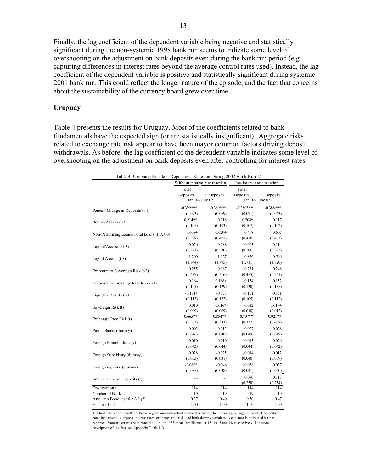Finally, the lag coefficient of the dependent variable being negative and statistically significant during the non-systemic 1998 bank run seems to indicate some level of overshooting on the adjustment on bank deposits even during the bank run period (e.g. capturing differences in interest rates beyond the average control rates used). Instead, the lag coefficient of the dependent variable is positive and statistically significant during systemic 2001 bank run. This could reflect the longer nature of the episode, and the fact that concerns about the sustainability of the currency board grew over time.

#### **Uruguay**

Table 4 presents the results for Uruguay. Most of the coefficients related to bank fundamentals have the expected sign (or are statistically insignificant). Aggregate risks related to exchange rate risk appear to have been mayor common factors driving deposit withdrawals. As before, the lag coefficient of the dependent variable indicates some level of overshooting on the adjustment on bank deposits even after controlling for interest rates.

| Table 4. Uruguay: Resident Depositors' Reaction During 2002 Bank Run 1/ |                   | Without interest rate reaction   | Inc. interest rate reaction            |             |
|-------------------------------------------------------------------------|-------------------|----------------------------------|----------------------------------------|-------------|
|                                                                         |                   |                                  |                                        |             |
|                                                                         | Total<br>Deposits | FC Deposits<br>(Jan 02- July 02) | Total<br>Deposits<br>(Jan 02- June 02) | FC Deposits |
|                                                                         | $-0.399***$       | $-0.389***$                      | $-0.380***$                            |             |
| Percent Change in Deposits (t-1)                                        |                   |                                  |                                        | $-0.388***$ |
|                                                                         | (0.073)           | (0.069)                          | (0.071)                                | (0.063)     |
| Return/Assets (t-3)                                                     | $0.214**$         | 0.118                            | $0.208*$                               | 0.117       |
|                                                                         | (0.105)           | (0.103)                          | (0.107)                                | (0.102)     |
| Non-Performing Loans/Total Loans (FD, t-3)                              | $-0.608+$         | $-0.629+$                        | $-0.498$                               | $-0.607$    |
|                                                                         | (0.388)           | (0.422)                          | (0.430)                                | (0.463)     |
| Capital/Assests (t-3)                                                   | 0.056             | 0.188                            | $-0.003$                               | 0.114       |
|                                                                         | (0.221)           | (0.230)                          | (0.206)                                | (0.223)     |
| Log of Assets $(t-3)$                                                   | 1.200             | 1.127                            | 0.856                                  | 0.596       |
|                                                                         | (1.744)           | (1.795)                          | (1.711)                                | (1.820)     |
| Exposure to Sovereign Risk $(t-3)$                                      | 0.255             | 0.187                            | 0.231                                  | 0.248       |
|                                                                         | (0.437)           | (0.516)                          | (0.455)                                | (0.541)     |
|                                                                         | 0.164             | $0.188+$                         | 0.154                                  | 0.152       |
| Exposure to Exchange Rate Risk (t-3)                                    | (0.121)           | (0.129)                          | (0.130)                                | (0.135)     |
|                                                                         | $-0.184+$         | $-0.173$                         | $-0.151$                               | $-0.151$    |
| Liquidity/Assets (t-3)                                                  | (0.113)           | (0.123)                          | (0.105)                                | (0.112)     |
|                                                                         | 0.010             | $0.016*$                         | 0.012                                  | $0.019+$    |
| Sovereign Risk (t)                                                      | (0.009)           | (0.009)                          | (0.010)                                | (0.012)     |
|                                                                         | $-0.665**$        | $-0.854**$                       | $-0.707**$                             | $-0.921**$  |
| Exchange Rate Risk (t)                                                  | (0.303)           | (0.333)                          | (0.332)                                | (0.408)     |
|                                                                         | 0.003             | 0.013                            | 0.027                                  | 0.028       |
| Public Banks (dummy)                                                    | (0.046)           | (0.048)                          | (0.049)                                | (0.049)     |
|                                                                         | $-0.010$          | 0.010                            | 0.013                                  | 0.026       |
| Foreign Branch (dummy)                                                  | (0.043)           | (0.044)                          | (0.044)                                | (0.042)     |
|                                                                         |                   |                                  |                                        |             |
| Foreign Subsidiary (dummy)                                              | $-0.028$          | $-0.025$                         | $-0.014$                               | $-0.012$    |
|                                                                         | (0.033)           | (0.031)                          | (0.040)                                | (0.039)     |
| Foreign regional (dummy)                                                | $-0.060*$         | $-0.046$                         | $-0.038$                               | $-0.037$    |
|                                                                         | (0.035)           | (0.038)                          | (0.041)                                | (0.040)     |
| Interest Rate on Deposits (t)                                           | .                 | .                                | 0.080                                  | 0.113       |
|                                                                         | .                 | .                                | (0.258)                                | (0.254)     |
| Observations                                                            | 114               | 114                              | 114                                    | 114         |
| Number of Banks                                                         | 19<br>0.37        | 19                               | 19                                     | 19          |
| Arrellano Bond test for AR(2)                                           |                   | 0.40                             | 0.50<br>1.00                           | 0.47        |
| Hansen Test                                                             | 1.00              | 1.00                             |                                        | 1.00        |

1/ This table reports Arellano-Bover regressions with robust standard errors of the percentage change of resident deposits on bank fundamentals, deposit interest rates, exchange rate risk, and bank dummy variables. A constant is estimated but not reported. Standard errors are in brackets. +, \*, \*\*, \*\*\* mean significance at 15, 10, 5 and 1% respectively. For more description of the data see Appendix Table 1.D.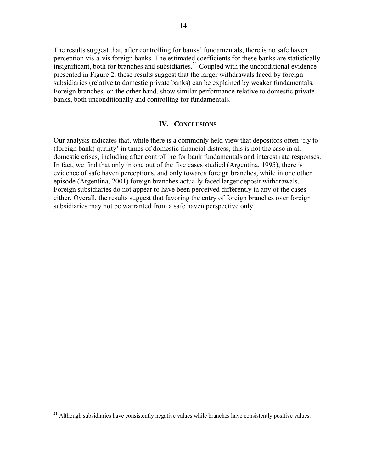The results suggest that, after controlling for banks' fundamentals, there is no safe haven perception vis-a-vis foreign banks. The estimated coefficients for these banks are statistically insignificant, both for branches and subsidiaries.<sup>21</sup> Coupled with the unconditional evidence presented in Figure 2, these results suggest that the larger withdrawals faced by foreign subsidiaries (relative to domestic private banks) can be explained by weaker fundamentals. Foreign branches, on the other hand, show similar performance relative to domestic private banks, both unconditionally and controlling for fundamentals.

#### **IV. CONCLUSIONS**

Our analysis indicates that, while there is a commonly held view that depositors often 'fly to (foreign bank) quality' in times of domestic financial distress, this is not the case in all domestic crises, including after controlling for bank fundamentals and interest rate responses. In fact, we find that only in one out of the five cases studied (Argentina, 1995), there is evidence of safe haven perceptions, and only towards foreign branches, while in one other episode (Argentina, 2001) foreign branches actually faced larger deposit withdrawals. Foreign subsidiaries do not appear to have been perceived differently in any of the cases either. Overall, the results suggest that favoring the entry of foreign branches over foreign subsidiaries may not be warranted from a safe haven perspective only.

1

<sup>&</sup>lt;sup>21</sup> Although subsidiaries have consistently negative values while branches have consistently positive values.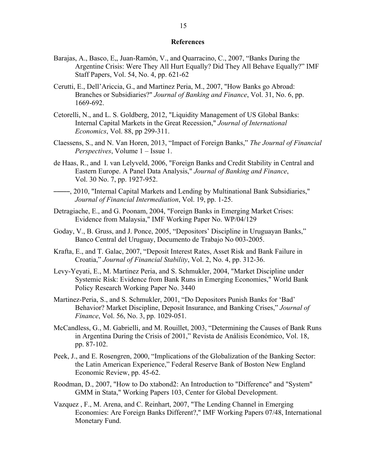#### **References**

- Barajas, A., Basco, E,, Juan-Ramón, V., and Quarracino, C., 2007, "Banks During the Argentine Crisis: Were They All Hurt Equally? Did They All Behave Equally?" IMF Staff Papers, Vol. 54, No. 4, pp. 621-62
- Cerutti, E., Dell'Ariccia, G., and Martinez Peria, M., 2007, "How Banks go Abroad: Branches or Subsidiaries?" *Journal of Banking and Finance*, Vol. 31, No. 6, pp. 1669-692.
- Cetorelli, N., and L. S. Goldberg, 2012, "Liquidity Management of US Global Banks: Internal Capital Markets in the Great Recession," *Journal of International Economics*, Vol. 88, pp 299-311.
- Claessens, S., and N. Van Horen, 2013, "Impact of Foreign Banks," *The Journal of Financial Perspectives*, Volume 1 – Issue 1.
- de Haas, R., and I. van Lelyveld, 2006, "Foreign Banks and Credit Stability in Central and Eastern Europe. A Panel Data Analysis," *Journal of Banking and Finance*, Vol. 30 No. 7, pp. 1927-952.
- –––––, 2010, "Internal Capital Markets and Lending by Multinational Bank Subsidiaries," *Journal of Financial Intermediation*, Vol. 19, pp. 1-25.
- Detragiache, E., and G. Poonam, 2004, "Foreign Banks in Emerging Market Crises: Evidence from Malaysia," IMF Working Paper No. WP/04/129
- Goday, V., B. Gruss, and J. Ponce, 2005, "Depositors' Discipline in Uruguayan Banks," Banco Central del Uruguay, Documento de Trabajo No 003-2005.
- Krafta, E., and T. Galac, 2007, "Deposit Interest Rates, Asset Risk and Bank Failure in Croatia," *Journal of Financial Stability*, Vol. 2, No. 4, pp. 312-36.
- Levy-Yeyati, E., M. Martinez Peria, and S. Schmukler, 2004, "Market Discipline under Systemic Risk: Evidence from Bank Runs in Emerging Economies," World Bank Policy Research Working Paper No. 3440
- Martinez-Peria, S., and S. Schmukler, 2001, "Do Depositors Punish Banks for 'Bad' Behavior? Market Discipline, Deposit Insurance, and Banking Crises," *Journal of Finance*, Vol. 56, No. 3, pp. 1029-051.
- McCandless, G., M. Gabrielli, and M. Rouillet, 2003, "Determining the Causes of Bank Runs in Argentina During the Crisis of 2001," Revista de Análisis Económico, Vol. 18, pp. 87-102.
- Peek, J., and E. Rosengren, 2000, "Implications of the Globalization of the Banking Sector: the Latin American Experience," Federal Reserve Bank of Boston New England Economic Review, pp. 45-62.
- Roodman, D., 2007, "How to Do xtabond2: An Introduction to "Difference" and "System" GMM in Stata," Working Papers 103, Center for Global Development.
- Vazquez , F., M. Arena, and C. Reinhart, 2007, "The Lending Channel in Emerging Economies: Are Foreign Banks Different?," IMF Working Papers 07/48, International Monetary Fund.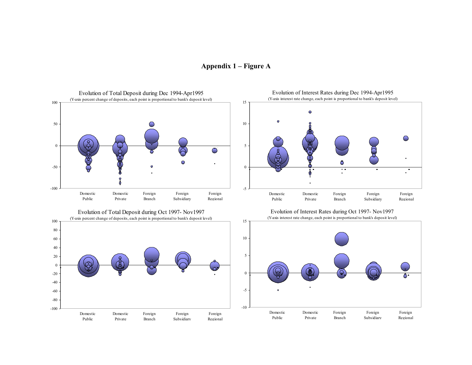

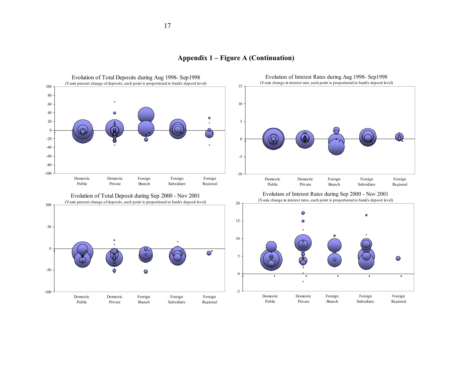Evolution of Interest Rates during Aug 1998- Sep1998 Evolution of Total Deposits during Aug 1998- Sep1998 (Y-axis change in interest rate, each point is proportional to bank's deposit level) (Y-axis percent change of deposits, each point is proportional to bank's deposit level) 15105 Q





100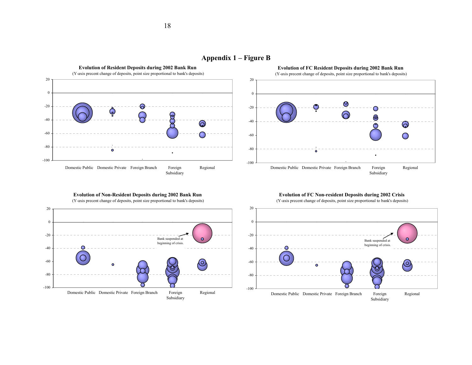



**Evolution of Non-Resident Deposits during 2002 Bank Run** 

(Y-axis precent change of deposits, point size proportional to bank's deposits)



**Evolution of FC Non-resident Deposits during 2002 Crisis**

(Y-axis precent change of deposits, point size proportional to bank's deposits)

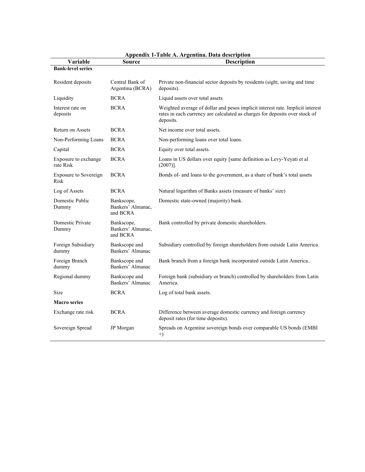| Variable                             | <b>Source</b>                               | Appendix 1-Table A. Argentina. Data description<br><b>Description</b>                                                                                                      |
|--------------------------------------|---------------------------------------------|----------------------------------------------------------------------------------------------------------------------------------------------------------------------------|
| <b>Bank-level series</b>             |                                             |                                                                                                                                                                            |
| Resident deposits                    | Central Bank of<br>Argentina (BCRA)         | Private non-financial sector deposits by residents (sight, saving and time<br>deposits).                                                                                   |
| Liquidity                            | <b>BCRA</b>                                 | Liquid assets over total assets                                                                                                                                            |
| Interest rate on<br>deposits         | <b>BCRA</b>                                 | Weighted average of dollar and pesos implicit interest rate. Implicit interest<br>rates in each currency are calculated as charges for deposits over stock of<br>deposits. |
| Return on Assets                     | <b>BCRA</b>                                 | Net income over total assets.                                                                                                                                              |
| Non-Performing Loans                 | <b>BCRA</b>                                 | Non-performing loans over total loans.                                                                                                                                     |
| Capital                              | <b>BCRA</b>                                 | Equity over total assets.                                                                                                                                                  |
| Exposure to exchange<br>rate Risk    | <b>BCRA</b>                                 | Loans in US dollars over equity [same definition as Levy-Yeyati et al<br>$(2007)$ ].                                                                                       |
| <b>Exposure to Sovereign</b><br>Risk | <b>BCRA</b>                                 | Bonds of- and loans to the government, as a share of bank's total assets                                                                                                   |
| Log of Assets                        | <b>BCRA</b>                                 | Natural logarithm of Banks assets (measure of banks' size)                                                                                                                 |
| Domestic Public<br>Dummy             | Bankscope,<br>Bankers' Almanac,<br>and BCRA | Domestic state-owned (majority) bank.                                                                                                                                      |
| Domestic Private<br>Dummy            | Bankscope,<br>Bankers' Almanac,<br>and BCRA | Bank controlled by private domestic shareholders.                                                                                                                          |
| Foreign Subsidiary<br>dummy          | Bankscope and<br>Bankers' Almanac           | Subsidiary controlled by foreign shareholders from outside Latin America.                                                                                                  |
| Foreign Branch<br>dummy              | Bankscope and<br>Bankers' Almanac           | Bank branch from a foreign bank incorporated outside Latin America                                                                                                         |
| Regional dummy                       | Bankscope and<br>Bankers' Almanac           | Foreign bank (subsidiary or branch) controlled by shareholders from Latin<br>America.                                                                                      |
| Size                                 | <b>BCRA</b>                                 | Log of total bank assets.                                                                                                                                                  |
| <b>Macro series</b>                  |                                             |                                                                                                                                                                            |
| Exchange rate risk                   | <b>BCRA</b>                                 | Difference between average domestic currency and foreign currency<br>deposit rates (for time deposits).                                                                    |
| Sovereign Spread                     | JP Morgan                                   | Spreads on Argentine sovereign bonds over comparable US bonds (EMBI<br>$+)$                                                                                                |

|  |  |  |  |  |  |  | Appendix 1-Table A. Argentina. Data description |
|--|--|--|--|--|--|--|-------------------------------------------------|
|--|--|--|--|--|--|--|-------------------------------------------------|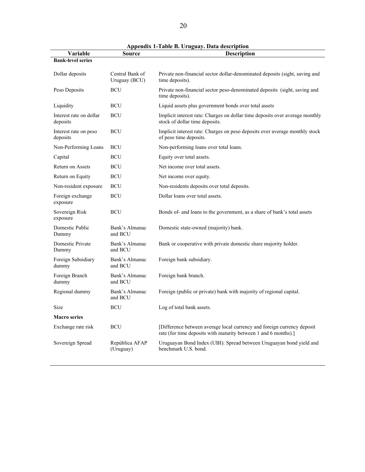| Variable                            | <b>Source</b>                    | Appendix 1-1 abie B. Uruguay. Data description<br><b>Description</b>                                                                       |
|-------------------------------------|----------------------------------|--------------------------------------------------------------------------------------------------------------------------------------------|
| <b>Bank-level series</b>            |                                  |                                                                                                                                            |
| Dollar deposits                     | Central Bank of<br>Uruguay (BCU) | Private non-financial sector dollar-denominated deposits (sight, saving and<br>time deposits).                                             |
| Peso Deposits                       | <b>BCU</b>                       | Private non-financial sector peso-denominated deposits (sight, saving and<br>time deposits).                                               |
| Liquidity                           | <b>BCU</b>                       | Liquid assets plus government bonds over total assets                                                                                      |
| Interest rate on dollar<br>deposits | <b>BCU</b>                       | Implicit interest rate: Charges on dollar time deposits over average monthly<br>stock of dollar time deposits.                             |
| Interest rate on peso<br>deposits   | <b>BCU</b>                       | Implicit interest rate: Charges on peso deposits over average monthly stock<br>of peso time deposits.                                      |
| Non-Performing Loans                | BCU                              | Non-performing loans over total loans.                                                                                                     |
| Capital                             | BCU                              | Equity over total assets.                                                                                                                  |
| Return on Assets                    | BCU                              | Net income over total assets.                                                                                                              |
| Return on Equity                    | <b>BCU</b>                       | Net income over equity.                                                                                                                    |
| Non-resident exposure               | <b>BCU</b>                       | Non-residents deposits over total deposits.                                                                                                |
| Foreign exchange<br>exposure        | <b>BCU</b>                       | Dollar loans over total assets.                                                                                                            |
| Sovereign Risk<br>exposure          | <b>BCU</b>                       | Bonds of- and loans to the government, as a share of bank's total assets                                                                   |
| Domestic Public<br>Dummy            | Bank's Almanac<br>and BCU        | Domestic state-owned (majority) bank.                                                                                                      |
| Domestic Private<br>Dummy           | Bank's Almanac<br>and BCU        | Bank or cooperative with private domestic share majority holder.                                                                           |
| Foreign Subsidiary<br>dummy         | Bank's Almanac<br>and BCU        | Foreign bank subsidiary.                                                                                                                   |
| Foreign Branch<br>dummy             | Bank's Almanac<br>and BCU        | Foreign bank branch.                                                                                                                       |
| Regional dummy                      | Bank's Almanac<br>and BCU        | Foreign (public or private) bank with majority of regional capital.                                                                        |
| <b>Size</b>                         | <b>BCU</b>                       | Log of total bank assets.                                                                                                                  |
| <b>Macro series</b>                 |                                  |                                                                                                                                            |
| Exchange rate risk                  | <b>BCU</b>                       | [Difference between average local currency and foreign currency deposit<br>rate (for time deposits with maturity between 1 and 6 months).] |
| Sovereign Spread                    | República AFAP<br>(Uruguay)      | Uruguayan Bond Index (UBI): Spread between Uruguayan bond yield and<br>benchmark U.S. bond.                                                |

**Appendix 1-Table B. Uruguay. Data description**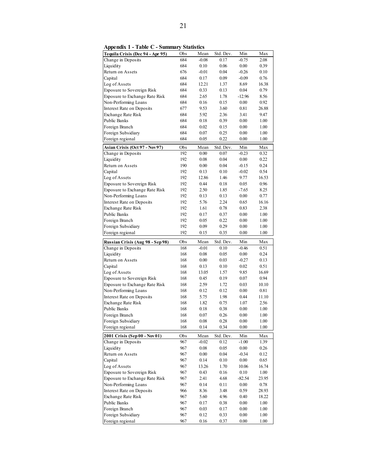| Tequila Crisis (Dec 94 - Apr 95)       | Obs        | Mean         | Std. Dev.    | Min          | Max          |
|----------------------------------------|------------|--------------|--------------|--------------|--------------|
| Change in Deposits                     | 684        | $-0.08$      | 0.17         | $-0.75$      | 2.08         |
| Liquidity                              | 684        | 0.10         | 0.06         | 0.00         | 0.39         |
| Return on Assets                       | 676        | $-0.01$      | 0.04         | $-0.26$      | 0.10         |
| Capital                                | 684        | 0.17         | 0.09         | $-0.09$      | 0.76         |
| Log of Assets                          | 684        | 12.21        | 1.37         | 8.69         | 16.38        |
| Exposure to Sovereign Risk             | 684        | 0.33         | 0.13         | 0.04         | 0.79         |
| Exposure to Exchange Rate Risk         | 684        | 2.65         | 1.78         | $-12.96$     | 8.56         |
| Non-Performing Loans                   | 684        | 0.16         | 0.15         | 0.00         | 0.92         |
| Interest Rate on Deposits              | 677        | 9.53         | 3.60         | 0.81         | 26.88        |
| Exchange Rate Risk                     | 684        | 5.92         | 2.36         | 3.41         | 9.47         |
| Public Banks                           | 684        | 0.18         | 0.39         | 0.00         | 1.00         |
| Foreign Branch                         | 684        | 0.02         | 0.15         | 0.00         | 1.00         |
| Foreign Subsidiary                     | 684        | 0.07         | 0.25         | 0.00         | 1.00         |
| Foreign regional                       | 684        | 0.05         | 0.22         | 0.00         | 1.00         |
| Asian Crisis (Oct 97 - Nov 97)         | Obs        | Mean         | Std. Dev.    | Min          | Max          |
| Change in Deposits                     | 192        | 0.00         | 0.07         | $-0.23$      | 0.32         |
| Liquidity                              | 192        | 0.08         | 0.04         | 0.00         | 0.22         |
| Return on Assets                       | 190        | 0.00         | 0.04         | $-0.15$      | 0.24         |
| Capital                                | 192        | 0.13         | 0.10         | $-0.02$      | 0.54         |
| Log of Assets                          | 192        | 12.86        | 1.46         | 9.77         | 16.53        |
| Exposure to Sovereign Risk             | 192        | 0.44         | 0.18         | 0.05         | 0.96         |
| Exposure to Exchange Rate Risk         | 192        | 2.50         | 1.85         | $-7.65$      | 8.25         |
| Non-Performing Loans                   | 192        | 0.13         | 0.13         | 0.00         | 0.77         |
| Interest Rate on Deposits              | 192        | 5.76         | 2.24         | 0.65         | 16.16        |
| Exchange Rate Risk                     | 192        | 1.61         | 0.78         | 0.83         | 2.38         |
| <b>Public Banks</b>                    | 192        | 0.17         | 0.37         | 0.00         | 1.00         |
| Foreign Branch                         | 192        | 0.05         | 0.22         | 0.00         | 1.00         |
| Foreign Subsidiary                     | 192        | 0.09         | 0.29         | 0.00         | 1.00         |
| Foreign regional                       | 192        | 0.15         | 0.35         | 0.00         | 1.00         |
|                                        |            |              |              |              |              |
|                                        | Obs        | Mean         | Std. Dev.    | Min          | Max          |
| Russian Crisis (Aug 98 - Sep 98)       | 168        | $-0.01$      | 0.10         | $-0.46$      | 0.51         |
| Change in Deposits<br>Liquidity        | 168        | 0.08         | 0.05         | 0.00         | 0.24         |
| Return on Assets                       | 168        | 0.00         | 0.03         | $-0.27$      | 0.13         |
| Capital                                | 168        | 0.13         | 0.10         | 0.02         | 0.51         |
| Log of Assets                          | 168        | 13.05        | 1.57         | 9.85         | 16.69        |
| Exposure to Sovereign Risk             | 168        | 0.45         | 0.19         | 0.07         | 0.94         |
| Exposure to Exchange Rate Risk         | 168        | 2.59         | 1.72         | 0.03         | 10.10        |
| Non-Performing Loans                   | 168        | 0.12         | 0.12         | 0.00         | 0.81         |
| Interest Rate on Deposits              | 168        | 5.75         | 1.98         | 0.44         | 11.10        |
| Exchange Rate Risk                     | 168        | 1.82         | 0.75         | 1.07         | 2.56         |
| <b>Public Banks</b>                    | 168        | 0.18         | 0.38         | 0.00         | 1.00         |
| Foreign Branch                         | 168        | 0.07         | 0.26         | 0.00         | 1.00         |
| Foreign Subsidiary                     | 168        | 0.08         | 0.28         | 0.00         | 1.00         |
| Foreign regional                       | 168        | 0.14         | 0.34         | 0.00         | 1.00         |
| 2001 Crisis (Sep 00 - Nov 01)          | Obs        | Mean         | Std. Dev.    | Min          | Max          |
| Change in Deposits                     | 967        | $-0.02$      | 0.12         | $-1.00$      | 1.39         |
| Liquidity                              | 967        | 0.08         | 0.05         | 0.00         | 0.26         |
| Return on Assets                       | 967        | 0.00         | 0.04         | $-0.34$      | 0.12         |
| Capital                                | 967        | 0.14         | 0.10         | 0.00         | 0.65         |
| Log of Assets                          | 967        | 13.26        | 1.70         | 10.06        | 16.74        |
| Exposure to Sovereign Risk             | 967        | 0.43         | 0.16         | 0.10         | 1.00         |
| Exposure to Exchange Rate Risk         | 967        | 2.41         | 4.68         | $-82.54$     | 23.95        |
| Non-Performing Loans                   | 967        | 0.14         | 0.11         | 0.00         | 0.78         |
| Interest Rate on Deposits              | 966        | 8.36         | 3.48         | 0.59         | 28.93        |
| Exchange Rate Risk                     | 967        | 5.60         | 4.96         | 0.40         | 18.22        |
| Public Banks                           | 967        | 0.17         | 0.38         | 0.00         | 1.00         |
| Foreign Branch                         | 967        | 0.03         | 0.17         | $0.00\,$     | 1.00         |
| Foreign Subsidiary<br>Foreign regional | 967<br>967 | 0.12<br>0.16 | 0.33<br>0.37 | 0.00<br>0.00 | 1.00<br>1.00 |

**Appendix 1 - Table C - Summary Statistics**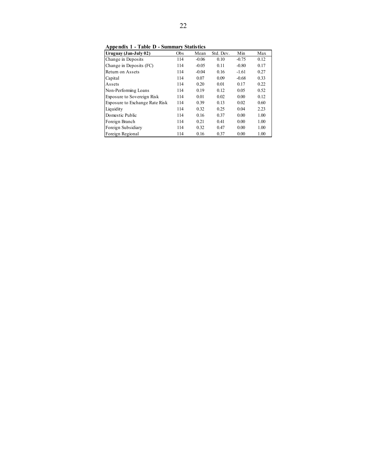**Appendix 1 - Table D - Summary Statistics**

| -rr<br>Uruguay (Jan-July 02)   | Obs | Mean    | Std. Dev. | Min     | Max  |
|--------------------------------|-----|---------|-----------|---------|------|
| Change in Deposits             | 114 | $-0.06$ | 0.10      | $-0.75$ | 0.12 |
| Change in Deposits (FC)        | 114 | $-0.05$ | 0.11      | $-0.80$ | 0.17 |
| Return on Assets               | 114 | $-0.04$ | 0.16      | $-1.61$ | 0.27 |
| Capital                        | 114 | 0.07    | 0.09      | $-0.68$ | 0.33 |
| Assets                         | 114 | 0.20    | 0.01      | 0.17    | 0.22 |
| Non-Performing Loans           | 114 | 0.19    | 0.12      | 0.05    | 0.52 |
| Exposure to Sovereign Risk     | 114 | 0.01    | 0.02      | 0.00    | 0.12 |
| Exposure to Exchange Rate Risk | 114 | 0.39    | 0.13      | 0.02    | 0.60 |
| Liquidity                      | 114 | 0.32    | 0.25      | 0.04    | 2.23 |
| Domestic Public                | 114 | 0.16    | 0.37      | 0.00    | 1.00 |
| Foreign Branch                 | 114 | 0.21    | 0.41      | 0.00    | 1.00 |
| Foreign Subsidiary             | 114 | 0.32    | 0.47      | 0.00    | 1.00 |
| Foreign Regional               | 114 | 0.16    | 0.37      | 0.00    | 1.00 |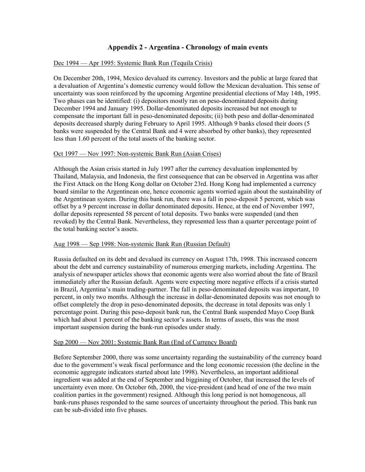#### **Appendix 2 - Argentina - Chronology of main events**

#### Dec 1994 — Apr 1995: Systemic Bank Run (Tequila Crisis)

On December 20th, 1994, Mexico devalued its currency. Investors and the public at large feared that a devaluation of Argentina's domestic currency would follow the Mexican devaluation. This sense of uncertainty was soon reinforced by the upcoming Argentine presidential elections of May 14th, 1995. Two phases can be identified: (i) depositors mostly ran on peso-denominated deposits during December 1994 and January 1995. Dollar-denominated deposits increased but not enough to compensate the important fall in peso-denominated deposits; (ii) both peso and dollar-denominated deposits decreased sharply during February to April 1995. Although 9 banks closed their doors (5 banks were suspended by the Central Bank and 4 were absorbed by other banks), they represented less than 1.60 percent of the total assets of the banking sector.

#### Oct 1997 — Nov 1997: Non-systemic Bank Run (Asian Crises)

Although the Asian crisis started in July 1997 after the currency devaluation implemented by Thailand, Malaysia, and Indonesia, the first consequence that can be observed in Argentina was after the First Attack on the Hong Kong dollar on October 23rd. Hong Kong had implemented a currency board similar to the Argentinean one, hence economic agents worried again about the sustainability of the Argentinean system. During this bank run, there was a fall in peso-deposit 5 percent, which was offset by a 9 percent increase in dollar denominated deposits. Hence, at the end of November 1997, dollar deposits represented 58 percent of total deposits. Two banks were suspended (and then revoked) by the Central Bank. Nevertheless, they represented less than a quarter percentage point of the total banking sector's assets.

#### Aug 1998 — Sep 1998: Non-systemic Bank Run (Russian Default)

Russia defaulted on its debt and devalued its currency on August 17th, 1998. This increased concern about the debt and currency sustainability of numerous emerging markets, including Argentina. The analysis of newspaper articles shows that economic agents were also worried about the fate of Brazil immediately after the Russian default. Agents were expecting more negative effects if a crisis started in Brazil, Argentina's main trading-partner. The fall in peso-denominated deposits was important, 10 percent, in only two months. Although the increase in dollar-denominated deposits was not enough to offset completely the drop in peso-denominated deposits, the decrease in total deposits was only 1 percentage point. During this peso-deposit bank run, the Central Bank suspended Mayo Coop Bank which had about 1 percent of the banking sector's assets. In terms of assets, this was the most important suspension during the bank-run episodes under study.

#### Sep 2000 — Nov 2001: Systemic Bank Run (End of Currency Board)

Before September 2000, there was some uncertainty regarding the sustainability of the currency board due to the government's weak fiscal performance and the long economic recession (the decline in the economic aggregate indicators started about late 1998). Nevertheless, an important additional ingredient was added at the end of September and biggining of October, that increased the levels of uncertainty even more. On October 6th, 2000, the vice-president (and head of one of the two main coalition parties in the government) resigned. Although this long period is not homogeneous, all bank-runs phases responded to the same sources of uncertainty throughout the period. This bank run can be sub-divided into five phases.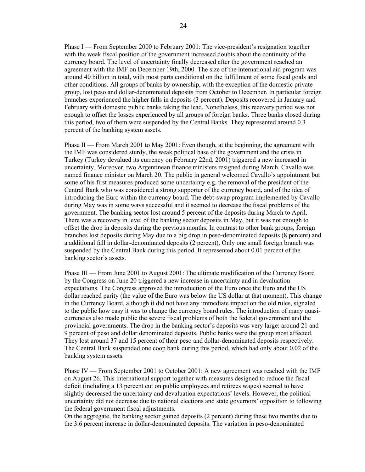Phase I — From September 2000 to February 2001: The vice-president's resignation together with the weak fiscal position of the government increased doubts about the continuity of the currency board. The level of uncertainty finally decreased after the government reached an agreement with the IMF on December 19th, 2000. The size of the international aid program was around 40 billion in total, with most parts conditional on the fulfillment of some fiscal goals and other conditions. All groups of banks by ownership, with the exception of the domestic private group, lost peso and dollar-denominated deposits from October to December. In particular foreign branches experienced the higher falls in deposits (3 percent). Deposits recovered in January and February with domestic public banks taking the lead. Nonetheless, this recovery period was not enough to offset the losses experienced by all groups of foreign banks. Three banks closed during this period, two of them were suspended by the Central Banks. They represented around 0.3 percent of the banking system assets.

Phase II — From March 2001 to May 2001: Even though, at the beginning, the agreement with the IMF was considered sturdy, the weak political base of the government and the crisis in Turkey (Turkey devalued its currency on February 22nd, 2001) triggered a new increased in uncertainty. Moreover, two Argentinean finance ministers resigned during March. Cavallo was named finance minister on March 20. The public in general welcomed Cavallo's appointment but some of his first measures produced some uncertainty e.g. the removal of the president of the Central Bank who was considered a strong supporter of the currency board, and of the idea of introducing the Euro within the currency board. The debt-swap program implemented by Cavallo during May was in some ways successful and it seemed to decrease the fiscal problems of the government. The banking sector lost around 5 percent of the deposits during March to April. There was a recovery in level of the banking sector deposits in May, but it was not enough to offset the drop in deposits during the previous months. In contrast to other bank groups, foreign branches lost deposits during May due to a big drop in peso-denominated deposits (8 percent) and a additional fall in dollar-denominated deposits (2 percent). Only one small foreign branch was suspended by the Central Bank during this period. It represented about 0.01 percent of the banking sector's assets.

Phase III — From June 2001 to August 2001: The ultimate modification of the Currency Board by the Congress on June 20 triggered a new increase in uncertainty and in devaluation expectations. The Congress approved the introduction of the Euro once the Euro and the US dollar reached parity (the value of the Euro was below the US dollar at that moment). This change in the Currency Board, although it did not have any immediate impact on the old rules, signaled to the public how easy it was to change the currency board rules. The introduction of many quasicurrencies also made public the severe fiscal problems of both the federal government and the provincial governments. The drop in the banking sector's deposits was very large: around 21 and 9 percent of peso and dollar denominated deposits. Public banks were the group most affected. They lost around 37 and 15 percent of their peso and dollar-denominated deposits respectively. The Central Bank suspended one coop bank during this period, which had only about 0.02 of the banking system assets.

Phase IV — From September 2001 to October 2001: A new agreement was reached with the IMF on August 26. This international support together with measures designed to reduce the fiscal deficit (including a 13 percent cut on public employees and retirees wages) seemed to have slightly decreased the uncertainty and devaluation expectations' levels. However, the political uncertainty did not decrease due to national elections and state governors' opposition to following the federal government fiscal adjustments.

On the aggregate, the banking sector gained deposits (2 percent) during these two months due to the 3.6 percent increase in dollar-denominated deposits. The variation in peso-denominated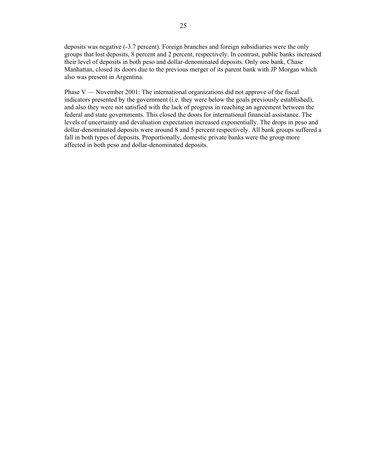deposits was negative (-3.7 percent). Foreign branches and foreign subsidiaries were the only groups that lost deposits, 8 percent and 2 percent, respectively. In contrast, public banks increased their level of deposits in both peso and dollar-denominated deposits. Only one bank, Chase Manhattan, closed its doors due to the previous merger of its parent bank with JP Morgan which also was present in Argentina.

Phase V — November 2001: The international organizations did not approve of the fiscal indicators presented by the government (i.e. they were below the goals previously established), and also they were not satisfied with the lack of progress in reaching an agreement between the federal and state governments. This closed the doors for international financial assistance. The levels of uncertainty and devaluation expectation increased exponentially. The drops in peso and dollar-denominated deposits were around 8 and 5 percent respectively. All bank groups suffered a fall in both types of deposits. Proportionally, domestic private banks were the group more affected in both peso and dollar-denominated deposits.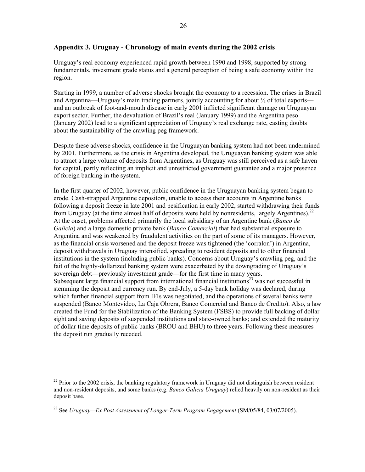#### **Appendix 3. Uruguay - Chronology of main events during the 2002 crisis**

Uruguay's real economy experienced rapid growth between 1990 and 1998, supported by strong fundamentals, investment grade status and a general perception of being a safe economy within the region.

Starting in 1999, a number of adverse shocks brought the economy to a recession. The crises in Brazil and Argentina—Uruguay's main trading partners, jointly accounting for about  $\frac{1}{2}$  of total exports and an outbreak of foot-and-mouth disease in early 2001 inflicted significant damage on Uruguayan export sector. Further, the devaluation of Brazil's real (January 1999) and the Argentina peso (January 2002) lead to a significant appreciation of Uruguay's real exchange rate, casting doubts about the sustainability of the crawling peg framework.

Despite these adverse shocks, confidence in the Uruguayan banking system had not been undermined by 2001. Furthermore, as the crisis in Argentina developed, the Uruguayan banking system was able to attract a large volume of deposits from Argentines, as Uruguay was still perceived as a safe haven for capital, partly reflecting an implicit and unrestricted government guarantee and a major presence of foreign banking in the system.

In the first quarter of 2002, however, public confidence in the Uruguayan banking system began to erode. Cash-strapped Argentine depositors, unable to access their accounts in Argentine banks following a deposit freeze in late 2001 and pesification in early 2002, started withdrawing their funds from Uruguay (at the time almost half of deposits were held by nonresidents, largely Argentines).<sup>22</sup> At the onset, problems affected primarily the local subsidiary of an Argentine bank (*Banco de Galicia*) and a large domestic private bank (*Banco Comercial*) that had substantial exposure to Argentina and was weakened by fraudulent activities on the part of some of its managers. However, as the financial crisis worsened and the deposit freeze was tightened (the 'corralon') in Argentina, deposit withdrawals in Uruguay intensified, spreading to resident deposits and to other financial institutions in the system (including public banks). Concerns about Uruguay's crawling peg, and the fait of the highly-dollarized banking system were exacerbated by the downgrading of Uruguay's sovereign debt—previously investment grade—for the first time in many years. Subsequent large financial support from international financial institutions<sup>23</sup> was not successful in stemming the deposit and currency run. By end-July, a 5-day bank holiday was declared, during which further financial support from IFIs was negotiated, and the operations of several banks were suspended (Banco Montevideo, La Caja Obrera, Banco Comercial and Banco de Credito). Also, a law created the Fund for the Stabilization of the Banking System (FSBS) to provide full backing of dollar sight and saving deposits of suspended institutions and state-owned banks; and extended the maturity of dollar time deposits of public banks (BROU and BHU) to three years. Following these measures the deposit run gradually receded.

 $22$  Prior to the 2002 crisis, the banking regulatory framework in Uruguay did not distinguish between resident and non-resident deposits, and some banks (e.g. *Banco Galicia Uruguay*) relied heavily on non-resident as their deposit base.

<sup>&</sup>lt;sup>23</sup> See *Uruguay—Ex Post Assessment of Longer-Term Program Engagement* (SM/05/84, 03/07/2005).